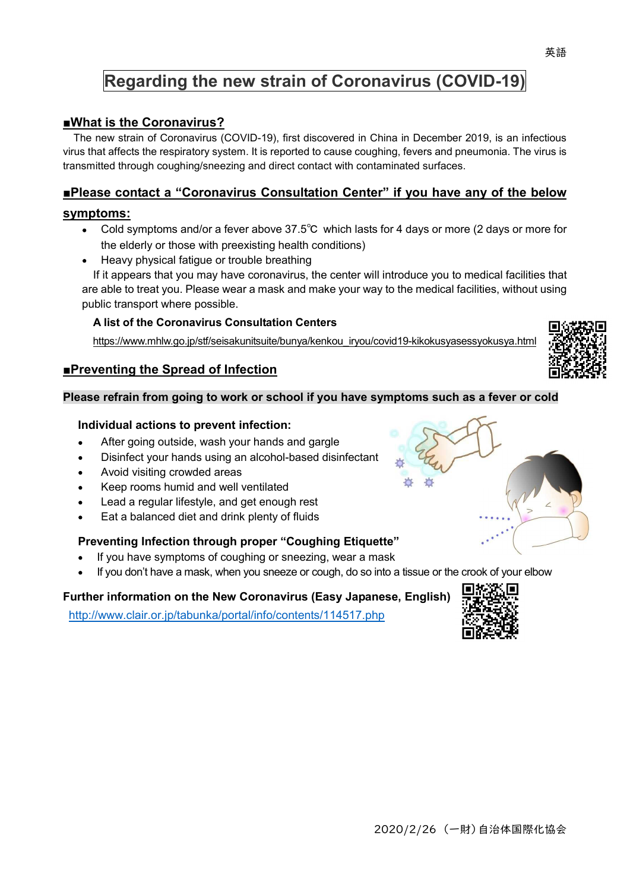# **Regarding the new strain of Coronavirus (COVID-19)**

# **■What is the Coronavirus?**

The new strain of Coronavirus (COVID-19), first discovered in China in December 2019, is an infectious virus that affects the respiratory system. It is reported to cause coughing, fevers and pneumonia. The virus is transmitted through coughing/sneezing and direct contact with contaminated surfaces.

# **■Please contact a "Coronavirus Consultation Center" if you have any of the below**

### **symptoms:**

- Cold symptoms and/or a fever above 37.5℃ which lasts for 4 days or more (2 days or more for the elderly or those with preexisting health conditions)
- Heavy physical fatigue or trouble breathing

If it appears that you may have coronavirus, the center will introduce you to medical facilities that are able to treat you. Please wear a mask and make your way to the medical facilities, without using public transport where possible.

#### **A list of the Coronavirus Consultation Centers**

https://www.mhlw.go.jp/stf/seisakunitsuite/bunya/kenkou\_iryou/covid19-kikokusyasessyokusya.html

# **■Preventing the Spread of Infection**

#### **Please refrain from going to work or school if you have symptoms such as a fever or cold**

#### **Individual actions to prevent infection:**

- After going outside, wash your hands and gargle
- Disinfect your hands using an alcohol-based disinfectant
- Avoid visiting crowded areas
- Keep rooms humid and well ventilated
- Lead a regular lifestyle, and get enough rest
- Eat a balanced diet and drink plenty of fluids

# **Preventing Infection through proper "Coughing Etiquette"**

- If you have symptoms of coughing or sneezing, wear a mask
- If you don't have a mask, when you sneeze or cough, do so into a tissue or the crook of your elbow  $\bullet$

# **Further information on the New Coronavirus (Easy Japanese, English)**

http://www.clair.or.jp/tabunka/portal/info/contents/114517.php